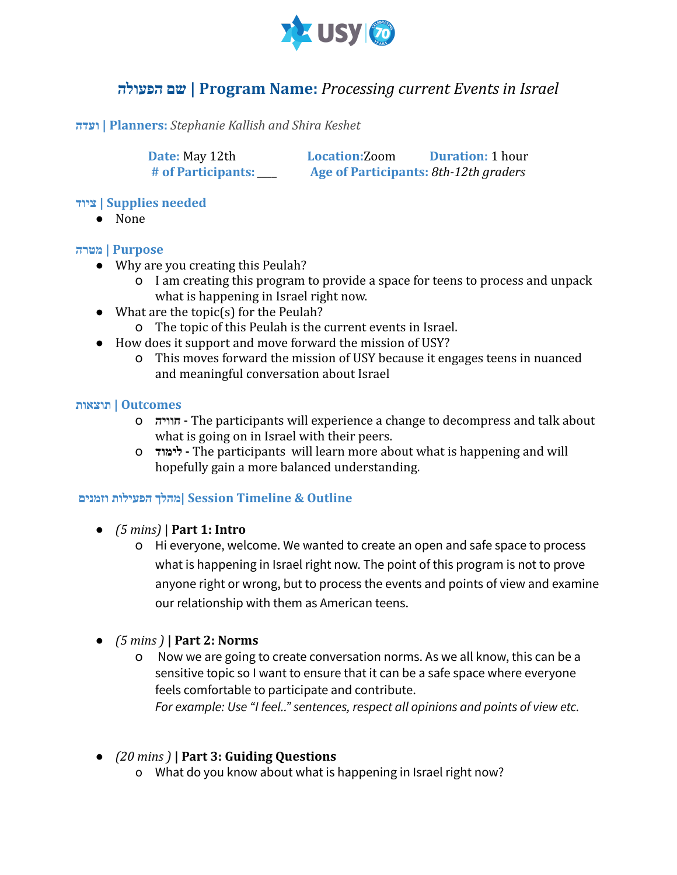

# **הפעולה שם | Program Name:** *Processing current Events in Israel*

**ועדה | Planners:** *Stephanie Kallish and Shira Keshet*

**Date:** May 12th **Location:**Zoom **Duration:** 1 hour **# of Participants:** *\_\_\_\_* **Age of Participants:** *8th-12th graders*

**ציוד | Supplies needed**

● None

## **Purpose | מטרה**

- Why are you creating this Peulah?
	- o I am creating this program to provide a space for teens to process and unpack what is happening in Israel right now.
- $\bullet$  What are the topic(s) for the Peulah?
	- o The topic of this Peulah is the current events in Israel.
- How does it support and move forward the mission of USY?
	- o This moves forward the mission of USY because it engages teens in nuanced and meaningful conversation about Israel

### **Outcomes | תוצאות**

- o **חוויה -** The participants will experience a change to decompress and talk about what is going on in Israel with their peers.
- o **לימוד -** The participants will learn more about what is happening and will hopefully gain a more balanced understanding.

## **Outline & Timeline Session| מהלך הפעילות וזמנים**

- **●** *(5 mins)* | **Part 1: Intro**
	- o Hi everyone, welcome. We wanted to create an open and safe space to process what is happening in Israel right now. The point of this program is not to prove anyone right or wrong, but to process the events and points of view and examine our relationship with them as American teens.
- **●** *(5 mins )* **| Part 2: Norms**
	- o Now we are going to create conversation norms. As we all know, this can be a sensitive topic so I want to ensure that it can be a safe space where everyone feels comfortable to participate and contribute. *For example: Use "I feel.." sentences, respect all opinions and points of view etc.*
- **●** *(20 mins )* **| Part 3: Guiding Questions**
	- o What do you know about what is happening in Israel right now?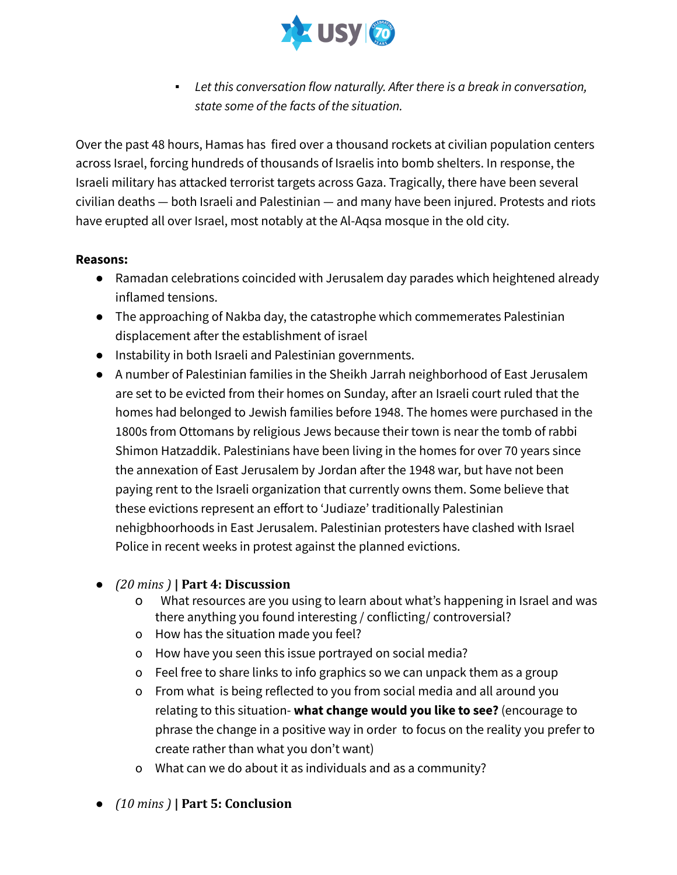

▪ *Let this conversation flow naturally. After there is a break in conversation, state some of the facts of the situation.*

Over the past 48 hours, Hamas has fired over a thousand rockets at civilian population centers across Israel, forcing hundreds of thousands of Israelis into bomb shelters. In response, the Israeli military has attacked terrorist targets across Gaza. Tragically, there have been several civilian deaths — both Israeli and Palestinian — and many have been injured. Protests and riots have erupted all over Israel, most notably at the Al-Aqsa mosque in the old city.

#### **Reasons:**

- Ramadan celebrations coincided with Jerusalem day parades which heightened already inflamed tensions.
- The approaching of Nakba day, the catastrophe which commemerates Palestinian displacement after the establishment of israel
- Instability in both Israeli and Palestinian governments.
- A number of Palestinian families in the Sheikh Jarrah neighborhood of East Jerusalem are set to be evicted from their homes on Sunday, after an Israeli court ruled that the homes had belonged to Jewish families before 1948. The homes were purchased in the 1800s from Ottomans by religious Jews because their town is near the tomb of rabbi Shimon Hatzaddik. Palestinians have been living in the homes for over 70 years since the annexation of East Jerusalem by Jordan after the 1948 war, but have not been paying rent to the Israeli organization that currently owns them. Some believe that these evictions represent an effort to 'Judiaze' traditionally Palestinian nehigbhoorhoods in East Jerusalem. Palestinian protesters have clashed with Israel Police in recent weeks in protest against the planned evictions.
- **●** *(20 mins )* **| Part 4: Discussion**
	- o What resources are you using to learn about what's happening in Israel and was there anything you found interesting / conflicting/ controversial?
	- o How has the situation made you feel?
	- o How have you seen this issue portrayed on social media?
	- o Feel free to share links to info graphics so we can unpack them as a group
	- o From what is being reflected to you from social media and all around you relating to this situation- **what change would you like to see?** (encourage to phrase the change in a positive way in order to focus on the reality you prefer to create rather than what you don't want)
	- o What can we do about it as individuals and as a community?
- **●** *(10 mins )* **| Part 5: Conclusion**